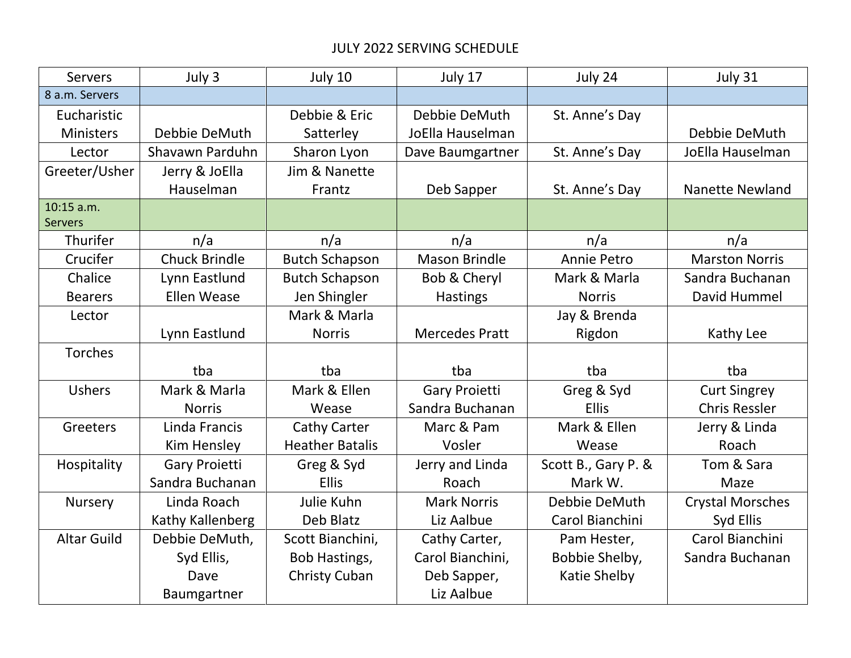## JULY 2022 SERVING SCHEDULE

| Servers            | July 3               | July 10                | July 17                 | July 24             | July 31                 |
|--------------------|----------------------|------------------------|-------------------------|---------------------|-------------------------|
| 8 a.m. Servers     |                      |                        |                         |                     |                         |
| Eucharistic        |                      | Debbie & Eric          | Debbie DeMuth           | St. Anne's Day      |                         |
| <b>Ministers</b>   | Debbie DeMuth        | Satterley              | JoElla Hauselman        |                     | Debbie DeMuth           |
| Lector             | Shavawn Parduhn      | Sharon Lyon            | Dave Baumgartner        | St. Anne's Day      | JoElla Hauselman        |
| Greeter/Usher      | Jerry & JoElla       | Jim & Nanette          |                         |                     |                         |
|                    | Hauselman            | Frantz                 | Deb Sapper              | St. Anne's Day      | <b>Nanette Newland</b>  |
| $10:15$ a.m.       |                      |                        |                         |                     |                         |
| <b>Servers</b>     |                      |                        |                         |                     |                         |
| Thurifer           | n/a                  | n/a                    | n/a                     | n/a                 | n/a                     |
| Crucifer           | <b>Chuck Brindle</b> | <b>Butch Schapson</b>  | <b>Mason Brindle</b>    | Annie Petro         | <b>Marston Norris</b>   |
| Chalice            | Lynn Eastlund        | <b>Butch Schapson</b>  | <b>Bob &amp; Cheryl</b> | Mark & Marla        | Sandra Buchanan         |
| <b>Bearers</b>     | <b>Ellen Wease</b>   | Jen Shingler           | <b>Hastings</b>         | <b>Norris</b>       | David Hummel            |
| Lector             |                      | Mark & Marla           |                         | Jay & Brenda        |                         |
|                    | Lynn Eastlund        | <b>Norris</b>          | <b>Mercedes Pratt</b>   | Rigdon              | Kathy Lee               |
| Torches            |                      |                        |                         |                     |                         |
|                    | tba                  | tba                    | tba                     | tba                 | tba                     |
| <b>Ushers</b>      | Mark & Marla         | Mark & Ellen           | <b>Gary Proietti</b>    | Greg & Syd          | <b>Curt Singrey</b>     |
|                    | <b>Norris</b>        | Wease                  | Sandra Buchanan         | <b>Ellis</b>        | <b>Chris Ressler</b>    |
| Greeters           | Linda Francis        | Cathy Carter           | Marc & Pam              | Mark & Ellen        | Jerry & Linda           |
|                    | Kim Hensley          | <b>Heather Batalis</b> | Vosler                  | Wease               | Roach                   |
| Hospitality        | Gary Proietti        | Greg & Syd             | Jerry and Linda         | Scott B., Gary P. & | Tom & Sara              |
|                    | Sandra Buchanan      | <b>Ellis</b>           | Roach                   | Mark W.             | Maze                    |
| <b>Nursery</b>     | Linda Roach          | Julie Kuhn             | <b>Mark Norris</b>      | Debbie DeMuth       | <b>Crystal Morsches</b> |
|                    | Kathy Kallenberg     | Deb Blatz              | Liz Aalbue              | Carol Bianchini     | Syd Ellis               |
| <b>Altar Guild</b> | Debbie DeMuth,       | Scott Bianchini,       | Cathy Carter,           | Pam Hester,         | Carol Bianchini         |
|                    | Syd Ellis,           | Bob Hastings,          | Carol Bianchini,        | Bobbie Shelby,      | Sandra Buchanan         |
|                    | Dave                 | Christy Cuban          | Deb Sapper,             | Katie Shelby        |                         |
|                    | Baumgartner          |                        | Liz Aalbue              |                     |                         |